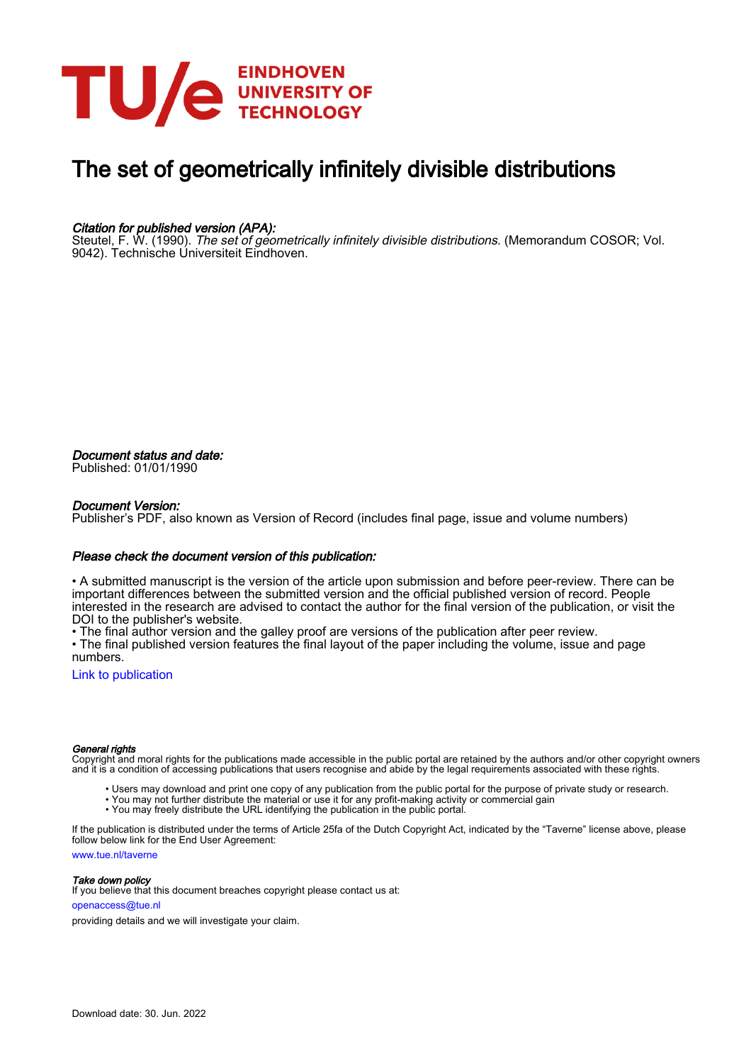

# The set of geometrically infinitely divisible distributions

#### Citation for published version (APA):

Steutel, F. W. (1990). The set of geometrically infinitely divisible distributions. (Memorandum COSOR; Vol. 9042). Technische Universiteit Eindhoven.

Document status and date: Published: 01/01/1990

#### Document Version:

Publisher's PDF, also known as Version of Record (includes final page, issue and volume numbers)

#### Please check the document version of this publication:

• A submitted manuscript is the version of the article upon submission and before peer-review. There can be important differences between the submitted version and the official published version of record. People interested in the research are advised to contact the author for the final version of the publication, or visit the DOI to the publisher's website.

• The final author version and the galley proof are versions of the publication after peer review.

• The final published version features the final layout of the paper including the volume, issue and page numbers.

[Link to publication](https://research.tue.nl/en/publications/ec155835-40ac-4a43-a34f-667b4433ed8a)

#### General rights

Copyright and moral rights for the publications made accessible in the public portal are retained by the authors and/or other copyright owners and it is a condition of accessing publications that users recognise and abide by the legal requirements associated with these rights.

- Users may download and print one copy of any publication from the public portal for the purpose of private study or research.
- You may not further distribute the material or use it for any profit-making activity or commercial gain
- You may freely distribute the URL identifying the publication in the public portal.

If the publication is distributed under the terms of Article 25fa of the Dutch Copyright Act, indicated by the "Taverne" license above, please follow below link for the End User Agreement:

www.tue.nl/taverne

**Take down policy**<br>If you believe that this document breaches copyright please contact us at:

openaccess@tue.nl

providing details and we will investigate your claim.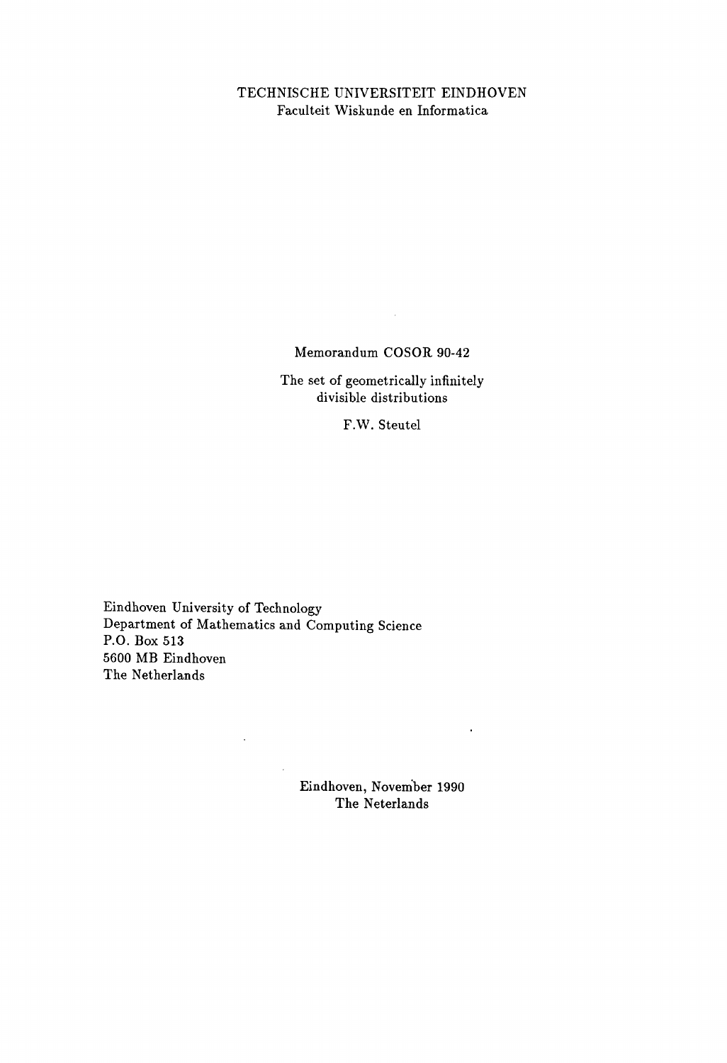## TECHNISCHE UNIVERSITEIT EINDHOVEN Faculteit Wiskunde en Informatica

Memorandum COSOR 90-42

 $\sim 10^{-1}$ 

The set of geometrically infinitely divisible distributions

F.W. Steutel

Eindhoven University of Technology Department of Mathematics and Computing Science P.O. Box 513 5600 MB Eindhoven The Netherlands

 $\mathcal{L}^{\pm}$ 

 $\mathcal{L}_{\text{in}}$ 

Eindhoven, November 1990 The Neterlands

 $\sim 100$  km s  $^{-1}$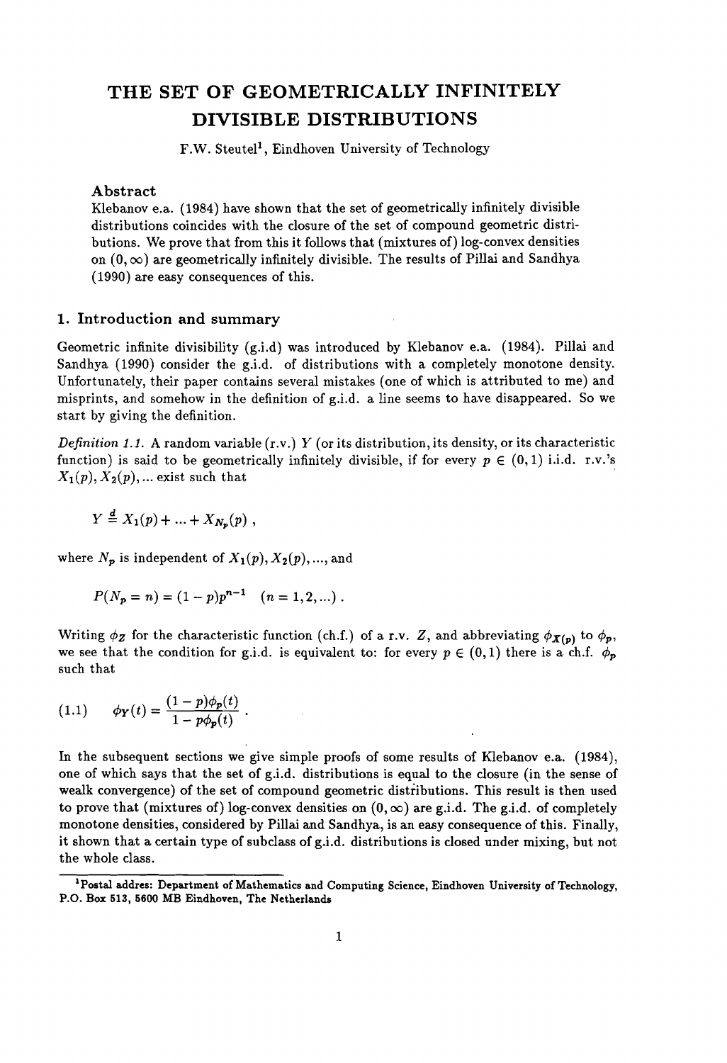# **THE SET OF GEOMETRICALLY INFINITELY DIVISIBLE DISTRIBUTIONS**

F.W. Steutel<sup>1</sup>, Eindhoven University of Technology

#### Abstract

Klebanove.a. (1984) have shown that the set of geometrically infinitely divisible distributions coincides with the closure of the set of compound geometric distributions. We prove that from this it follows that (mixtures of) log-convex densities on  $(0,\infty)$  are geometrically infinitely divisible. The results of Pillai and Sandhya (1990) are easy consequences of this.

## 1. Introduction and summary

Geometric infinite divisibility (g.i.d) was introduced by Klebanov e.a. (1984). Pillai and Sandhya (1990) consider the g.i.d. of distributions with a completely monotone density. Unfortunately, their paper contains several mistakes (one of which is attributed to me) and misprints, and somehow in the definition of g.i.d. a line seems to have disappeared. So we start by giving the definition.

*Definition* 1.1. A random variable  $(r.v.)$  Y (or its distribution, its density, or its characteristic function) is said to be geometrically infinitely divisible, if for every  $p \in (0,1)$  i.i.d. r.v.'s  $X_1(p), X_2(p), \ldots$  exist such that

$$
Y = X_1(p) + \ldots + X_{N_p}(p) ,
$$

where  $N_p$  is independent of  $X_1(p), X_2(p), ...,$  and

$$
P(N_p = n) = (1 - p)p^{n-1} \quad (n = 1, 2, ...).
$$

Writing  $\phi_Z$  for the characteristic function (ch.f.) of a r.v. Z, and abbreviating  $\phi_{X(p)}$  to  $\phi_p$ , we see that the condition for g.i.d. is equivalent to: for every  $p \in (0,1)$  there is a ch.f.  $\phi_p$ such that

(1.1) 
$$
\phi_Y(t) = \frac{(1-p)\phi_p(t)}{1-p\phi_p(t)}.
$$

In the subsequent sections we give simple proofs of some results of Klebanov e.a. (1984), one of which says that the set of g.i.d. distributions is equal to the closure (in the sense of wealk convergence) of the set of compound geometric distributions. This result is then used to prove that (mixtures of) log-convex densities on  $(0,\infty)$  are g.i.d. The g.i.d. of completely monotone densities, considered by Pillai and Sandhya, is an easy consequence of this. Finally, it shown that a certain type of subclass of g.i.d. distributions is closed under mixing, but not the whole class.

<sup>1</sup>Postal addres: Department of Mathematics and Computing Science, Eindhoven University of Technology, P.O. Box 513, 5600 MB Eindhoven, The Netherlands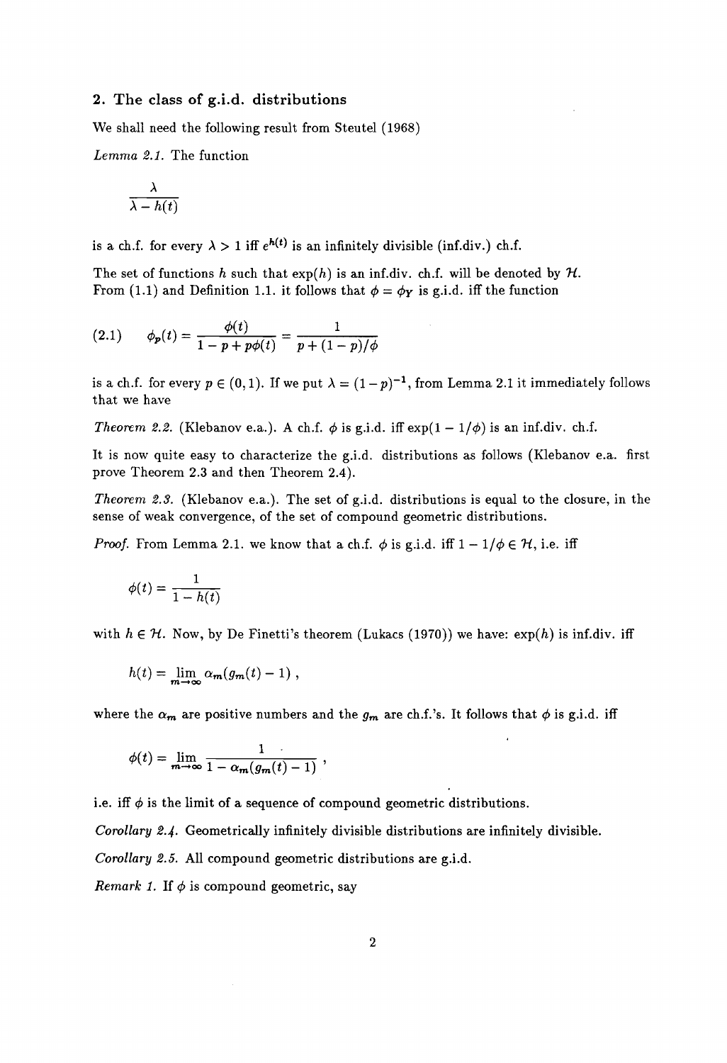## 2. The class of g.i.d. distributions

We shall need the following result from Steutel (1968)

*Lemma* 2.1. The function

$$
\frac{\lambda}{\lambda-h(t)}
$$

is a ch.f. for every  $\lambda > 1$  iff  $e^{h(t)}$  is an infinitely divisible (inf.div.) ch.f.

The set of functions h such that  $exp(h)$  is an inf.div. ch.f. will be denoted by  $H$ . From (1.1) and Definition 1.1. it follows that  $\phi = \phi_Y$  is g.i.d. iff the function

(2.1) 
$$
\phi_p(t) = \frac{\phi(t)}{1 - p + p\phi(t)} = \frac{1}{p + (1 - p)/\phi}
$$

is a ch.f. for every  $p \in (0,1)$ . If we put  $\lambda = (1-p)^{-1}$ , from Lemma 2.1 it immediately follows that we have

*Theorem 2.2.* (Klebanov e.a.). A ch.f.  $\phi$  is g.i.d. iff  $exp(1 - 1/\phi)$  is an inf.div. ch.f.

It is now quite easy to characterize the g.i.d. distributions as follows (Klebanov e.a. first prove Theorem 2.3 and then Theorem 2.4).

*Theorem* 2.3. (Klebanov e.a.). The set of g.i.d. distributions is equal to the closure, in the sense of weak convergence, of the set of compound geometric distributions.

*Proof.* From Lemma 2.1. we know that a ch.f.  $\phi$  is g.i.d. iff  $1 - 1/\phi \in \mathcal{H}$ , i.e. iff

$$
\phi(t) = \frac{1}{1 - h(t)}
$$

with  $h \in \mathcal{H}$ . Now, by De Finetti's theorem (Lukacs (1970)) we have:  $\exp(h)$  is inf.div. iff

$$
h(t) = \lim_{m \to \infty} \alpha_m(g_m(t) - 1) ,
$$

where the  $\alpha_m$  are positive numbers and the  $g_m$  are ch.f.'s. It follows that  $\phi$  is g.i.d. iff

$$
\phi(t) = \lim_{m \to \infty} \frac{1}{1 - \alpha_m(g_m(t) - 1)},
$$

i.e. iff  $\phi$  is the limit of a sequence of compound geometric distributions.

*Corollary* 2.4. Geometrically infinitely divisible distributions are infinitely divisible.

*Corollary* 2.5. All compound geometric distributions are g.i.d.

*Remark 1.* If  $\phi$  is compound geometric, say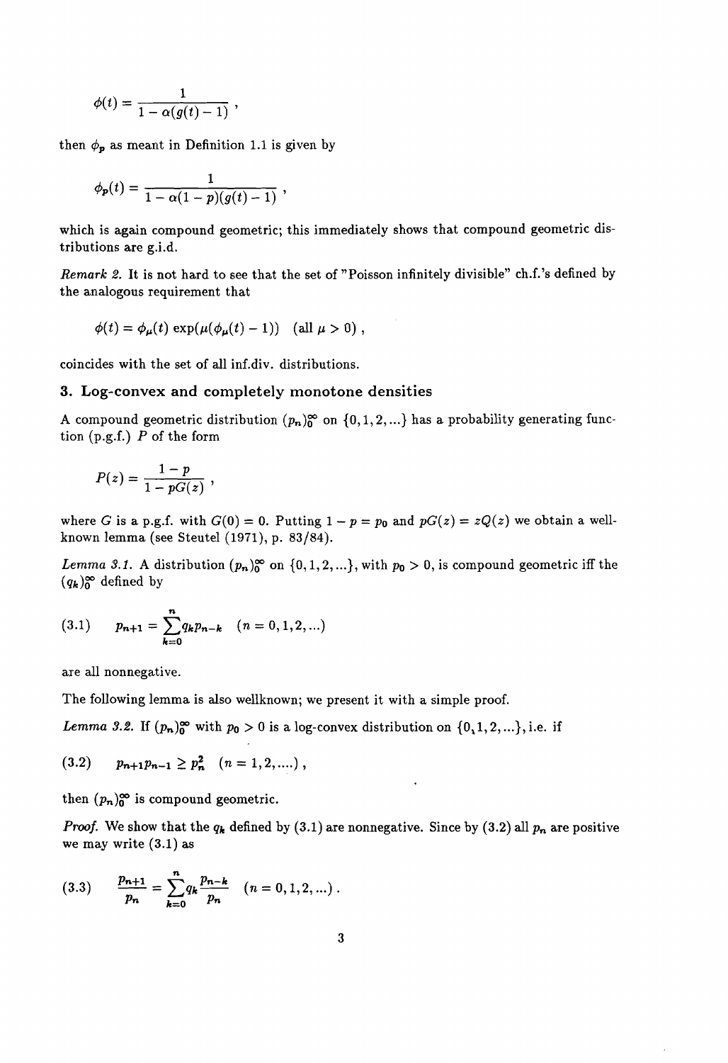$$
\phi(t)=\frac{1}{1-\alpha(g(t)-1)}\;,
$$

then  $\phi_p$  as meant in Definition 1.1 is given by

$$
\phi_{p}(t) = \frac{1}{1 - \alpha(1 - p)(g(t) - 1)},
$$

which is again compound geometric; this immediately shows that compound geometric distributions are g.i.d.

*Remark* 2. It is not hard to see that the set of "Poisson infinitely divisible" ch.f.'s defined by the analogous requirement that

$$
\phi(t) = \phi_{\mu}(t) \exp(\mu(\phi_{\mu}(t) - 1)) \quad \text{(all } \mu > 0),
$$

coincides with the set of all inf.div. distributions.

#### 3. Log-convex **and** completely monotone densities

A compound geometric distribution  $(p_n)_0^{\infty}$  on  $\{0,1,2,...\}$  has a probability generating function (p.g.f.) *P* of the form

$$
P(z) = \frac{1-p}{1-pG(z)},
$$

where *G* is a p.g.f. with  $G(0) = 0$ . Putting  $1 - p = p_0$  and  $pG(z) = zQ(z)$  we obtain a wellknown lemma (see Steutel (1971), p. 83/84).

*Lemma* 3.1. A distribution  $(p_n)_0^{\infty}$  on  $\{0,1,2,...\}$ , with  $p_0 > 0$ , is compound geometric iff the  $(q_k)_0^{\infty}$  defined by

$$
(3.1) \qquad p_{n+1} = \sum_{k=0}^{n} q_k p_{n-k} \quad (n = 0, 1, 2, \ldots)
$$

are all nonnegative.

The following lemma is also wellknown; we present it with a simple proof.

*Lemma* 3.2. If  $(p_n)_0^{\infty}$  with  $p_0 > 0$  is a log-convex distribution on  $\{0, 1, 2, ...\}$ , i.e. if

$$
(3.2) \t p_{n+1}p_{n-1} \geq p_n^2 \t (n = 1, 2, ....),
$$

then  $(p_n)_0^{\infty}$  is compound geometric.

*Proof.* We show that the  $q_k$  defined by (3.1) are nonnegative. Since by (3.2) all  $p_n$  are positive we may write (3.1) as

 $\ddot{\phantom{0}}$ 

(3.3) 
$$
\frac{p_{n+1}}{p_n} = \sum_{k=0}^n q_k \frac{p_{n-k}}{p_n} \quad (n = 0, 1, 2, ...).
$$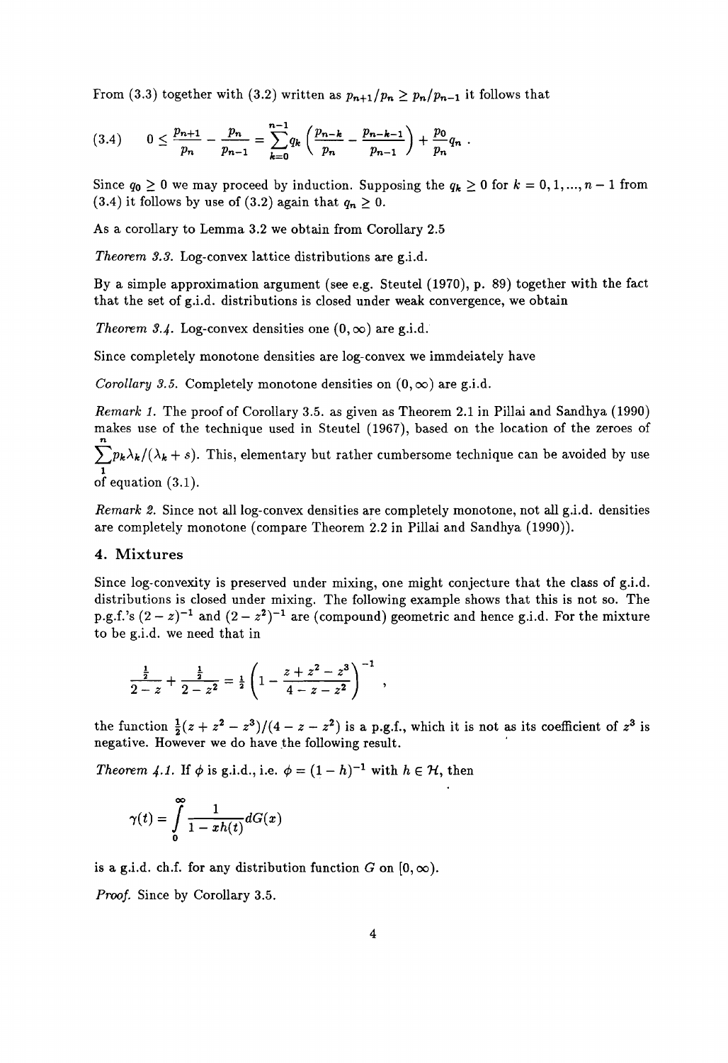From (3.3) together with (3.2) written as  $p_{n+1}/p_n \geq p_n/p_{n-1}$  it follows that

$$
(3.4) \qquad 0 \leq \frac{p_{n+1}}{p_n} - \frac{p_n}{p_{n-1}} = \sum_{k=0}^{n-1} q_k \left( \frac{p_{n-k}}{p_n} - \frac{p_{n-k-1}}{p_{n-1}} \right) + \frac{p_0}{p_n} q_n \; .
$$

Since  $q_0 \geq 0$  we may proceed by induction. Supposing the  $q_k \geq 0$  for  $k = 0, 1, ..., n - 1$  from (3.4) it follows by use of (3.2) again that  $q_n \geq 0$ .

As a corollary to Lemma 3.2 we obtain from Corollary 2.5

*Theorem 3.3.* Log-convex lattice distributions are g.i.d.

By a simple approximation argument (see e.g. Steutel (1970), p. 89) together with the fact that the set of g.i.d. distributions is closed under weak convergence, we obtain

*Theorem 3.4.* Log-convex densities one  $(0, \infty)$  are g.i.d.

Since completely monotone densities are log-convex we immdeiately have

*Corollary* 3.5. Completely monotone densities on  $(0, \infty)$  are g.i.d.

*Remark* 1. The proof of Corollary 3.5. as given as Theorem 2.1 in Pillai and Sandhya (1990) makes use of the technique used in Steutel (1967), based on the location of the zeroes of n

 $\sum p_k \lambda_k / (\lambda_k + s)$ . This, elementary but rather cumbersome technique can be avoided by use 1 of equation (3.1).

*Remark 2.* Since not all log-convex densities are completely monotone, not all g.i.d. densities are completely monotone (compare Theorem 2.2 in Pillai and Sandhya (1990)).

#### **4. Mixtures**

Since log-convexity is preserved under mixing, one might conjecture that the class of g.i.d. distributions is closed under mixing. The following example shows that this is not so. The p.g.f.'s  $(2-z)^{-1}$  and  $(2-z^2)^{-1}$  are (compound) geometric and hence g.i.d. For the mixture to be g.i.d. we need that in

$$
\frac{\frac{1}{2}}{2-z}+\frac{\frac{1}{2}}{2-z^2}=\frac{1}{2}\left(1-\frac{z+z^2-z^3}{4-z-z^2}\right)^{-1},
$$

the function  $\frac{1}{2}(z+z^2-z^3)/(4-z-z^2)$  is a p.g.f., which it is not as its coefficient of  $z^3$  is negative. However we do have the following result.

*Theorem 4.1.* If  $\phi$  is g.i.d., i.e.  $\phi = (1 - h)^{-1}$  with  $h \in \mathcal{H}$ , then

$$
\gamma(t)=\int\limits_0^\infty\frac{1}{1-xh(t)}dG(x)
$$

is a g.i.d. ch.f. for any distribution function G on  $[0,\infty)$ .

*Proof.* Since by Corollary 3.5.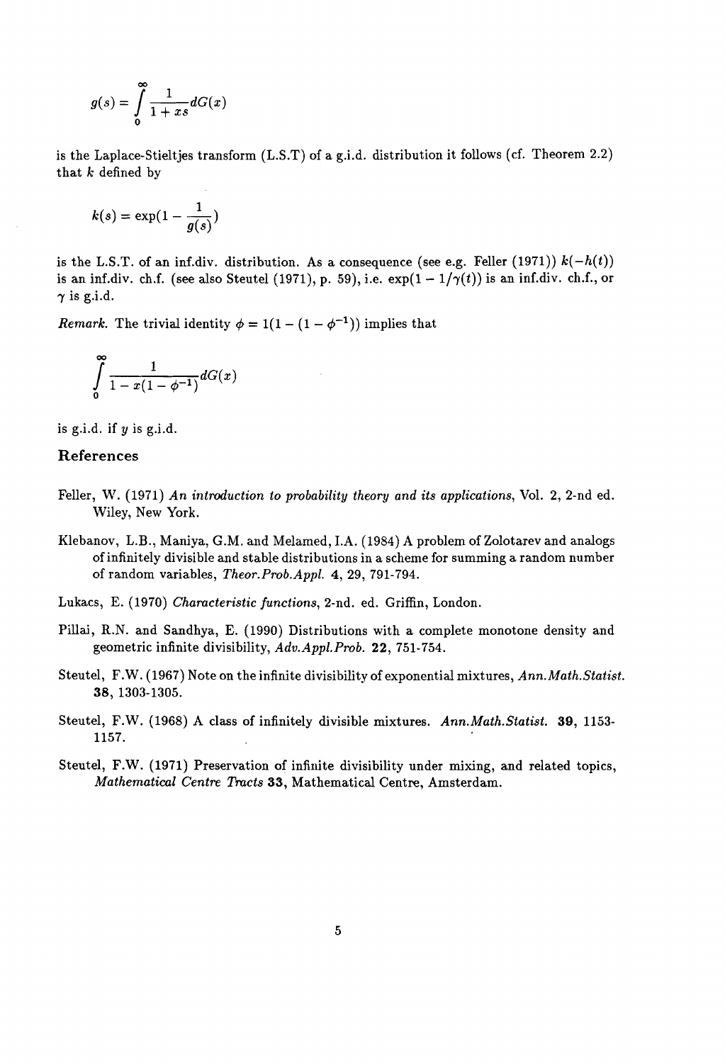$$
g(s) = \int_{0}^{\infty} \frac{1}{1+xs} dG(x)
$$

is the Laplace-Stieltjes transform  $(L.S.T)$  of a g.i.d. distribution it follows (cf. Theorem 2.2) that  $k$  defined by

$$
k(s) = \exp(1-\frac{1}{g(s)})
$$

is the L.S.T. of an inf.div. distribution. As a consequence (see e.g. Feller (1971))  $k(-h(t))$ is an inf.div. ch.f. (see also Steutel (1971), p. 59), i.e.  $\exp(1 - 1/\gamma(t))$  is an inf.div. ch.f., or  $\gamma$  is g.i.d.

*Remark.* The trivial identity  $\phi = 1(1 - (1 - \phi^{-1}))$  implies that

$$
\int\limits_0^\infty\frac{1}{1-x(1-\phi^{-1})}dG(x)
$$

is g.i.d. if *y* is g.i.d.

### References

- Feller, W. (1971) *An introduction to probability theory and its applications,* Vol. 2, 2-nd ed. Wiley, New York.
- Klebanov, L.B., Maniya, G.M. and Melamed, LA. (1984) A problem of Zolotarev and analogs ofinfinitely divisible and stable distributions in a scheme for summing a random number of random variables, *Theor. Prob.Appl.* 4, 29, 791-794.
- Lukacs, E. (1970) *Characteristic functions,* 2-nd. ed. Griffin, London.
- Pillai, R.N. and Sandhya, E. (1990) Distributions with a complete monotone density and geometric infinite divisibility, *Adv.Appl.Prob.* 22, 751-754.
- Steutel, F.W. (1967) Note on the infinite divisibility of exponential mixtures, *Ann.Math.Statist.* 38, 1303-1305.
- Steutel, F.W. (1968) A class of infinitely divisible mixtures. *Ann.Math.Statist.* 39, 1153-  $1157.$
- Steutel, F.W. (1971) Preservation of infinite divisibility under mixing, and related topics, *Mathematical Centre Tracts* 33, Mathematical Centre, Amsterdam.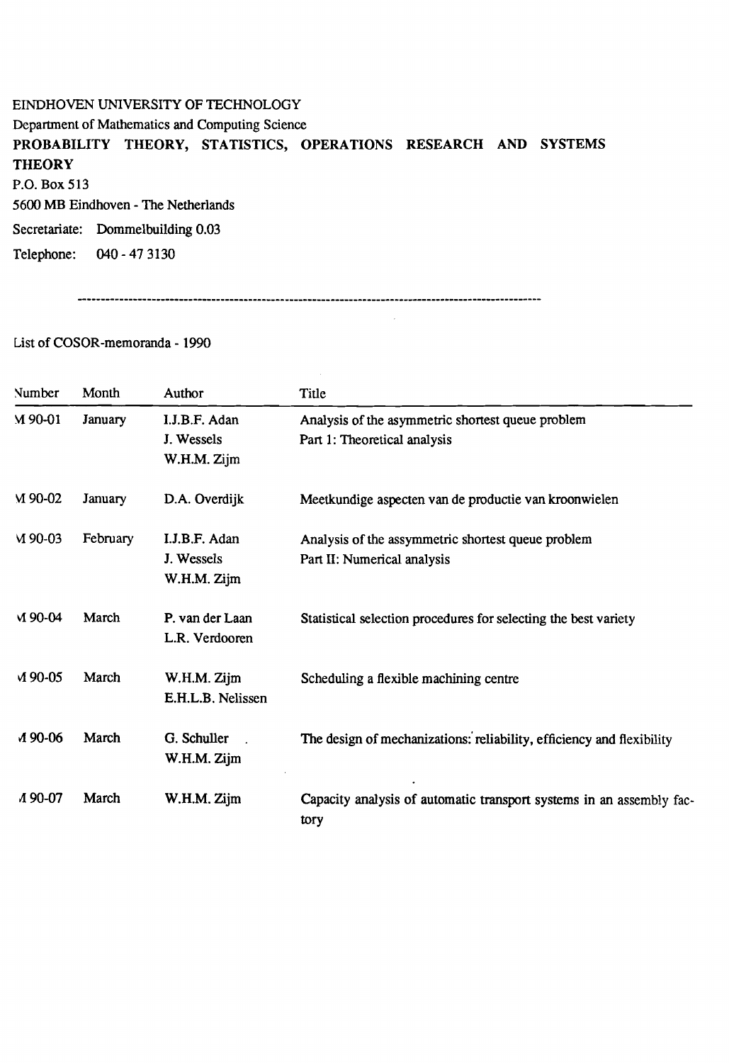# EINDHOVEN UNIVERSITY OF TECHNOLOGY Department of Mathematics and Computing Science PROBABILITY THEORY, STATISTICS, OPERATIONS RESEARCH AND SYSTEMS **THEORY** P.O. Box 513 5600 MB Eindhoven - The Netherlands Secretariate: Dommelbuilding 0.03 Telephone: 040 - 47 3130

 $\mathcal{A}^{\mathcal{A}}$ 

 $\sim$ 

List of COSOR-memoranda - 1990

| Number    | Month          | Author                                     | Title                                                                             |
|-----------|----------------|--------------------------------------------|-----------------------------------------------------------------------------------|
| $M$ 90-01 | <b>January</b> | I.J.B.F. Adan<br>J. Wessels<br>W.H.M. Zijm | Analysis of the asymmetric shortest queue problem<br>Part 1: Theoretical analysis |
| M 90-02   | <b>January</b> | D.A. Overdijk                              | Meetkundige aspecten van de productie van kroonwielen                             |
| $M$ 90-03 | February       | I.J.B.F. Adan<br>J. Wessels<br>W.H.M. Zijm | Analysis of the assymmetric shortest queue problem<br>Part II: Numerical analysis |
| $M$ 90-04 | March          | P. van der Laan<br>L.R. Verdooren          | Statistical selection procedures for selecting the best variety                   |
| M 90-05   | March          | W.H.M. Zijm<br>E.H.L.B. Nelissen           | Scheduling a flexible machining centre                                            |
| A 90-06   | March          | G. Schuller<br>W.H.M. Zijm                 | The design of mechanizations: reliability, efficiency and flexibility             |
| A 90-07   | March          | W.H.M. Zijm                                | Capacity analysis of automatic transport systems in an assembly fac-<br>tory      |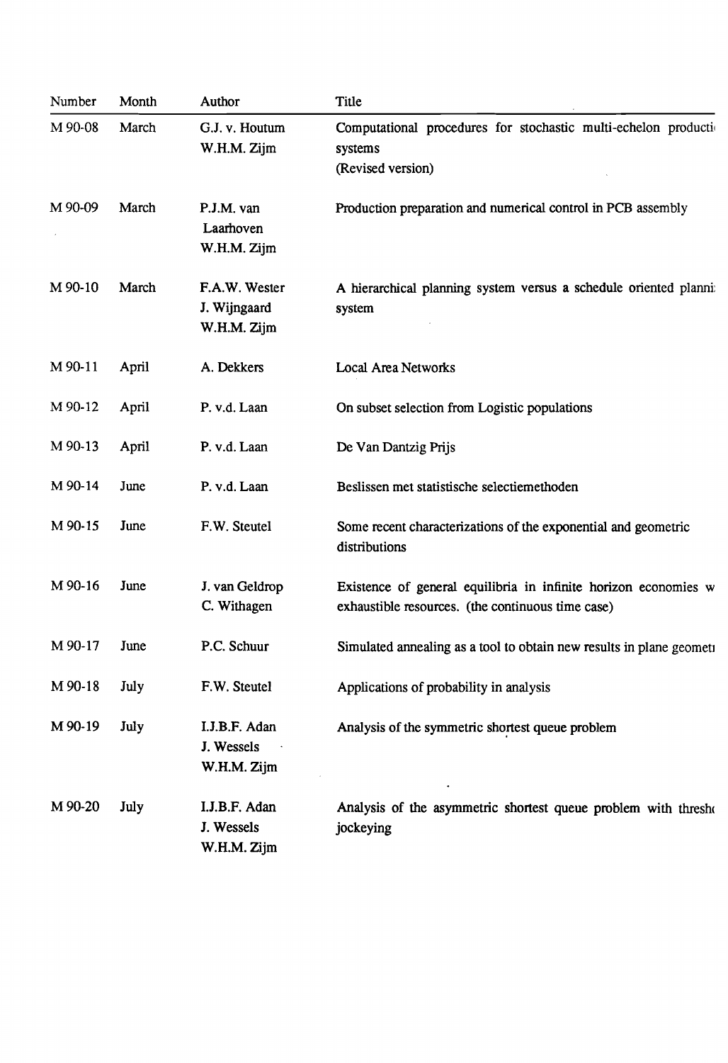| Number  | Month | Author                                       | Title                                                                                                                |
|---------|-------|----------------------------------------------|----------------------------------------------------------------------------------------------------------------------|
| M 90-08 | March | G.J. v. Houtum<br>W.H.M. Zijm                | Computational procedures for stochastic multi-echelon production<br>systems<br>(Revised version)                     |
| M 90-09 | March | P.J.M. van<br>Laarhoven<br>W.H.M. Zijm       | Production preparation and numerical control in PCB assembly                                                         |
| M 90-10 | March | F.A.W. Wester<br>J. Wijngaard<br>W.H.M. Zijm | A hierarchical planning system versus a schedule oriented planni:<br>system                                          |
| M 90-11 | April | A. Dekkers                                   | Local Area Networks                                                                                                  |
| M 90-12 | April | P. v.d. Laan                                 | On subset selection from Logistic populations                                                                        |
| M 90-13 | April | P. v.d. Laan                                 | De Van Dantzig Prijs                                                                                                 |
| M 90-14 | June  | P. v.d. Laan                                 | Beslissen met statistische selectiemethoden                                                                          |
| M 90-15 | June  | F.W. Steutel                                 | Some recent characterizations of the exponential and geometric<br>distributions                                      |
| M 90-16 | June  | J. van Geldrop<br>C. Withagen                | Existence of general equilibria in infinite horizon economies w<br>exhaustible resources. (the continuous time case) |
| M 90-17 | June  | P.C. Schuur                                  | Simulated annealing as a tool to obtain new results in plane geometi                                                 |
| M 90-18 | July  | F.W. Steutel                                 | Applications of probability in analysis                                                                              |
| M 90-19 | July  | I.J.B.F. Adan<br>J. Wessels<br>W.H.M. Zijm   | Analysis of the symmetric shortest queue problem                                                                     |
| M 90-20 | July  | I.J.B.F. Adan<br>J. Wessels<br>W.H.M. Zijm   | Analysis of the asymmetric shortest queue problem with thresho<br>jockeying                                          |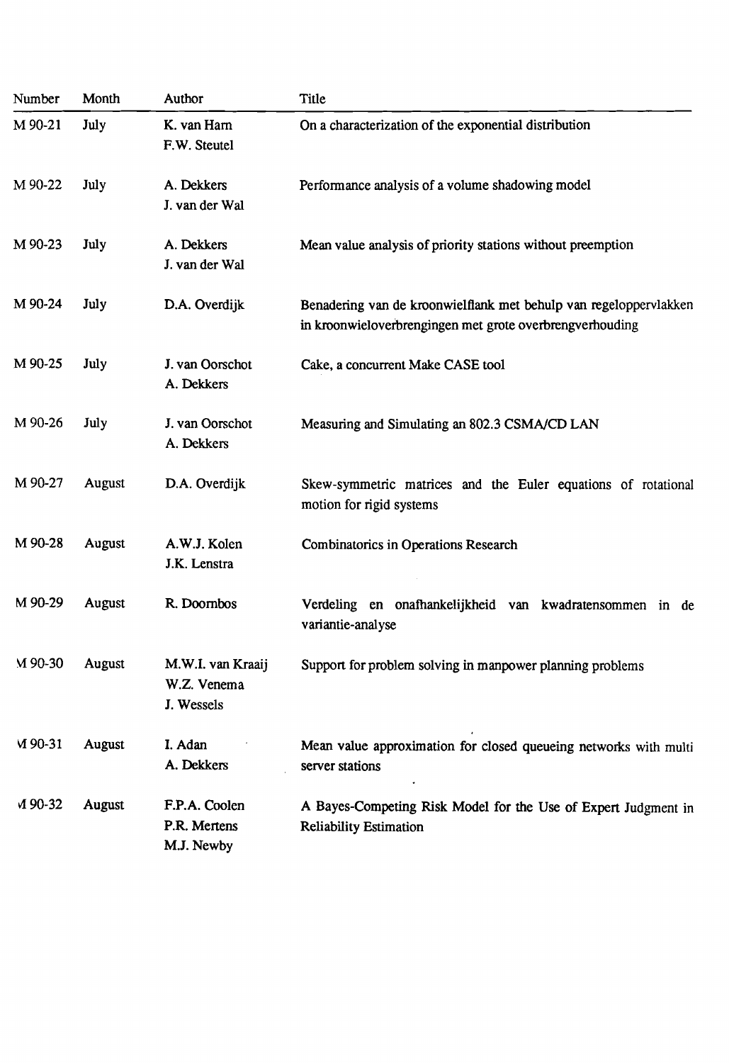| Number    | Month  | Author                                         | Title                                                                                                                         |
|-----------|--------|------------------------------------------------|-------------------------------------------------------------------------------------------------------------------------------|
| M 90-21   | July   | K. van Harn<br>F.W. Steutel                    | On a characterization of the exponential distribution                                                                         |
| M 90-22   | July   | A. Dekkers<br>J. van der Wal                   | Performance analysis of a volume shadowing model                                                                              |
| M 90-23   | July   | A. Dekkers<br>J. van der Wal                   | Mean value analysis of priority stations without preemption                                                                   |
| M 90-24   | July   | D.A. Overdijk                                  | Benadering van de kroonwielflank met behulp van regeloppervlakken<br>in kroonwieloverbrengingen met grote overbrengverhouding |
| M 90-25   | July   | J. van Oorschot<br>A. Dekkers                  | Cake, a concurrent Make CASE tool                                                                                             |
| M 90-26   | July   | J. van Oorschot<br>A. Dekkers                  | Measuring and Simulating an 802.3 CSMA/CD LAN                                                                                 |
| M 90-27   | August | D.A. Overdijk                                  | Skew-symmetric matrices and the Euler equations of rotational<br>motion for rigid systems                                     |
| M 90-28   | August | A.W.J. Kolen<br>J.K. Lenstra                   | <b>Combinatorics in Operations Research</b>                                                                                   |
| M 90-29   | August | R. Doombos                                     | Verdeling en onafhankelijkheid van kwadratensommen in de<br>variantie-analyse                                                 |
| M 90-30   | August | M.W.I. van Kraaij<br>W.Z. Venema<br>J. Wessels | Support for problem solving in manpower planning problems                                                                     |
| $M$ 90-31 | August | I. Adan<br>A. Dekkers                          | Mean value approximation for closed queueing networks with multi<br>server stations                                           |
| M 90-32   | August | F.P.A. Coolen<br>P.R. Mertens<br>M.J. Newby    | A Bayes-Competing Risk Model for the Use of Expert Judgment in<br><b>Reliability Estimation</b>                               |